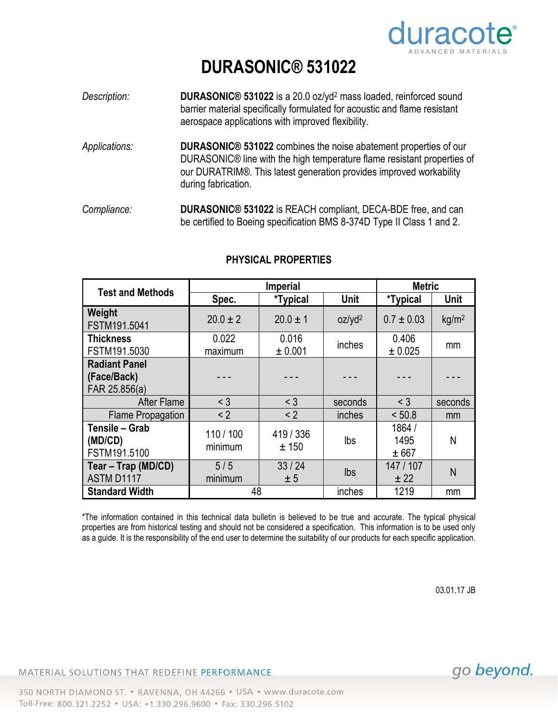

## **DURASONIC® 531022**

- *Description:* **DURASONIC® 531022** is a 20.0 oz/yd<sup>2</sup> mass loaded, reinforced sound barrier material specifically formulated for acoustic and flame resistant aerospace applications with improved flexibility.
- *Applications:* **DURASONIC® 531022** combines the noise abatement properties of our DURASONIC® line with the high temperature flame resistant properties of our DURATRIM®. This latest generation provides improved workability during fabrication.
- *Compliance:* **DURASONIC® 531022** is REACH compliant, DECA-BDE free, and can be certified to Boeing specification BMS 8-374D Type II Class 1 and 2.

| <b>Test and Methods</b>                              | <b>Imperial</b>    |                    |                    | <b>Metric</b>           |                   |
|------------------------------------------------------|--------------------|--------------------|--------------------|-------------------------|-------------------|
|                                                      | Spec.              | <i>*Typical</i>    | Unit               | <i>*</i> Typical        | <b>Unit</b>       |
| Weight<br>FSTM191.5041                               | $20.0 \pm 2$       | $20.0 \pm 1$       | oz/yd <sup>2</sup> | $0.7 \pm 0.03$          | kg/m <sup>2</sup> |
| <b>Thickness</b><br>FSTM191.5030                     | 0.022<br>maximum   | 0.016<br>± 0.001   | inches             | 0.406<br>± 0.025        | mm                |
| <b>Radiant Panel</b><br>(Face/Back)<br>FAR 25.856(a) |                    |                    |                    |                         |                   |
| <b>After Flame</b>                                   | $<$ 3              | $<$ 3              | seconds            | $<$ 3                   | seconds           |
| <b>Flame Propagation</b>                             | < 2                | < 2                | inches             | < 50.8                  | mm                |
| Tensile - Grab<br>(MD/CD)<br>FSTM191.5100            | 110/100<br>minimum | 419 / 336<br>± 150 | Ibs                | 1864 /<br>1495<br>± 667 | N                 |
| Tear - Trap (MD/CD)<br>ASTM D1117                    | 5/5<br>minimum     | 33/24<br>± 5       | <b>lbs</b>         | 147 / 107<br>± 22       | N                 |
| <b>Standard Width</b>                                | 48                 |                    | inches             | 1219                    | mm                |

## **PHYSICAL PROPERTIES**

\*The information contained in this technical data bulletin is believed to be true and accurate. The typical physical properties are from historical testing and should not be considered a specification. This information is to be used only as a guide. It is the responsibility of the end user to determine the suitability of our products for each specific application.

03.01.17 JB

MATERIAL SOLUTIONS THAT REDEFINE PERFORMANCE

go beyond.